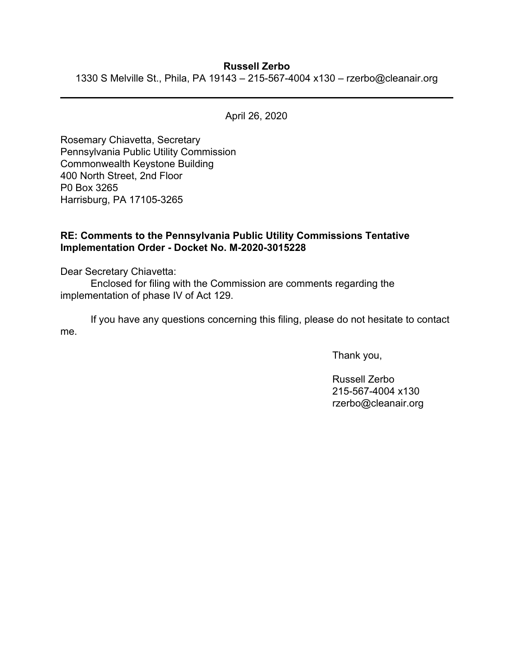## **Russell Zerbo**

1330 S Melville St., Phila, PA 19143 – 215-567-4004 x130 – rzerbo@cleanair.org

April 26, 2020

Rosemary Chiavetta, Secretary Pennsylvania Public Utility Commission Commonwealth Keystone Building 400 North Street, 2nd Floor P0 Box 3265 Harrisburg, PA 17105-3265

## **RE: Comments to the Pennsylvania Public Utility Commissions Tentative Implementation Order - Docket No. M-2020-3015228**

Dear Secretary Chiavetta:

Enclosed for filing with the Commission are comments regarding the implementation of phase IV of Act 129.

If you have any questions concerning this filing, please do not hesitate to contact me.

Thank you,

Russell Zerbo 215-567-4004 x130 rzerbo@cleanair.org